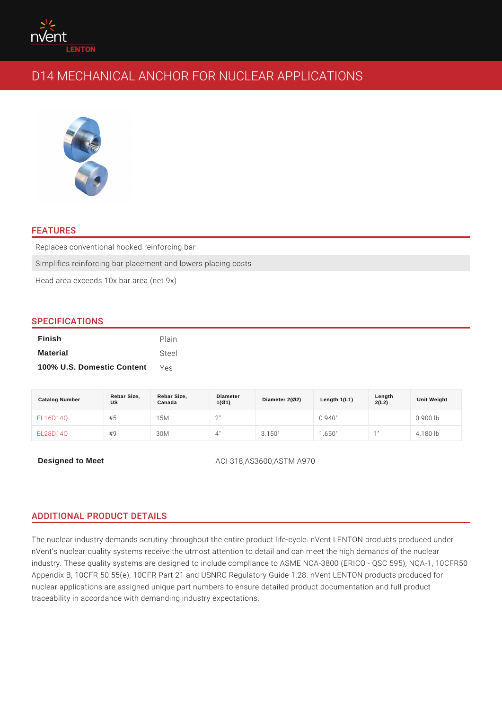# FEATURES

Replaces conventional hooked reinforcing bar Simplifies reinforcing bar placement and lowers placing costs Head area exceeds 10x bar area (net 9x)

## SPECIFICATIONS

| Finish                     | Plain |
|----------------------------|-------|
| Material                   | Steel |
| 100% U.S. Domestic Content | Yes   |

| Catalog Number  | Rebar Size,<br>US | Rebar Size,<br>Canada | Diameter<br>1(Ø1) | Diameter 2(Ø2) | Length $1(L1)$ | Length<br>2(L2)               | Unit Weight |
|-----------------|-------------------|-----------------------|-------------------|----------------|----------------|-------------------------------|-------------|
| E L 1 6 D 1 4 Q | #5                | 5 M                   | 2"<br>_           |                | 0.940"         |                               | $0.900$ lb  |
| E L 2 8 D 1 4 Q | # 9               | 3 0 M                 | 4"                | 3.150"         | .650"          | $\overline{A}$ $\overline{B}$ | 80<br>l h   |

Designed to Meet ACI 318;AS3600;ASTM A970

## ADDITIONAL PRODUCT DETAILS

The nuclear industry demands scrutiny throughout the entire product life-cycle. nVent s nuclear quality systems receive the utmost attention to detail and can m industry. These quality systems are designed to include compliance to ASME NC. Appendix B, 10CFR 50.55(e), 10CFR Part 21 and USNRC Regulatory Guide 1.28. nuclear applications are assigned unique part numbers to ensure detailed produc traceability in accordance with demanding industry expectations.